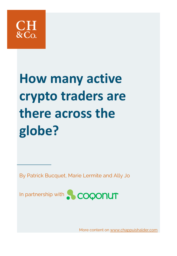

# **How many active crypto traders are there across the globe?**

By Patrick Bucquet, Marie Lermite and Ally Jo



More content on [www.chappuishalder.com](http://www.chappuishalder.com/)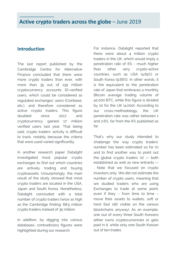#### **Introduction**

The last report published by the Cambridge Centre for Alternative Finance concluded that there were more crypto traders than ever, with more than 35 out of 139 million cryptocurrency accounts ID-verified users, which could be considered as regulated exchanges' users (Coinbase, etc.), and therefore considered as active crypto traders. This figure doubled since 2017 and cryptocurrency gained 17 million verified users last year. That being said, crypto traders' activity is difficult to track, notably because the criteria that were used varied significantly.

In another research paper Datalight investigated most popular crypto exchanges to find out which countries are actively trading and buying cryptoassets. Unsurprisingly, the main result of the study showed that most crypto traders are located in the USA, Japan and South Korea. Nonetheless, Datalight concluded with a total number of crypto traders twice as high as the Cambridge finding: 68.5 million crypto traders instead of 35 million.

In addition, by digging into various databases, contradictory figures were highlighted during our research.

For instance, Datalight reported that there were about 4 million crypto traders in the UK, which would imply a penetration rate of 6% - much higher than other very crypto-active countries, such as USA (4.65%) or South Korea (9.66%). In other words, it is the equivalent to the penetration rate of Japan that embraces a monthly Bitcoin average trading volume of 42,000 BTC, while this figure is divided by 10 for the UK (4,000). According to our cross-methodology, the UK penetration rate was rather between 1 and 2.6%, far from the 6% published so far.

That's why our study intended to challenge the way crypto traders' number has been estimated so far (1) and to find another way to point out the global crypto traders  $(2)$  – both established as well as new entrants — . Note that we focused on crypto investors only. We did not estimate the number of crypto users, meaning that we studied traders who are using Exchanges to trade at some point, even if they – from time to time – move their assets to wallets, soft or hard (but still visible on the various blockchains anyway). As an example, one out of every three South Koreans either owns cryptocurrencies or gets paid in it, while only one South Korean out of ten trades.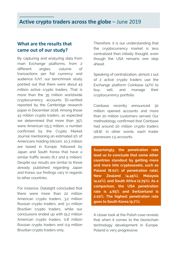#### **What are the results that came out of our study?**

By capturing and analyzing data from main Exchange platforms, from 2 different angles, volume of transactions per fiat currency and audience (UV), our benchmark study pointed out that there were about 43 million active crypto traders. That is more than the 35 million worldwide cryptocurrency accounts ID-verified reported by the Cambridge research paper in December 2018. Among those 43 million crypto traders, as expected we determined that more than 35% were American (15.3 million, a number confirmed by the Crypto Market Journal mentioning an estimated 5% of Americans holding bitcoin), 10.3 million are based in Europe, followed by Japan and South Korea that have a similar traffic levels (6.7 and 5 million). Despite our results are similar to those already published regarding Japan and Korea, our findings vary in regards to other countries.

For instance, Datalight concluded that there were more than 22 million American crypto traders, 3.2 million Russian crypto traders, and 3.1 million Brazilian crypto traders, while our conclusions ended up with 15.2 million American crypto traders, 0.8 million Russian crypto traders and 0.9 million Brazilian crypto traders only.

Therefore, it is our understanding that the cryptocurrency market is less centralized than initially thought, even though the USA remains one step ahead.

Speaking of centralization, almost 1 out of 2 active crypto traders use the Exchange platform Coinbase (47%) to buy, sell, and manage their cryptocurrency portfolio.

Coinbase recently announced 30 million opened accounts and more than 20 million customers served. Our methodology confirmed that Coinbase had around 20 million crypto traders (18.8). In other words, each trader possesses 1.5 accounts.

**Surprisingly, the penetration rate lead us to conclude that some other countries standout by getting more and more into cryptoassets, such as Poland (8.01% of penetration rate), New Zealand (4.49%), Malaysia (4.12%), and South Africa (2.79%). As a comparison, the USA penetration rate is 4.65% and Switzerland is 2.02%. The highest penetration rate goes to South Korea (9.7%).**

A closer look at the Polish case reveals that when it comes to the blockchain technology development in Europe, Poland is very progressive.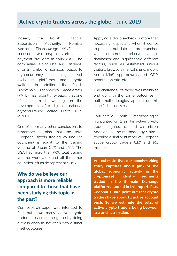Indeed, the Polish Financial Supervision Authority, Komisia Nadzoru Finansowego (KNF), has licensed two crypto startups as payment providers in early 2019. The companies, Coinquista and Bitclude, offer a number of services related to cryptocurrency, such as digital asset exchange platforms and crypto wallets. In addition, the Polish Blockchain Technology Accelerator (PATB), has recently revealed that one of its team is working on the development of a digitized national cryptocurrency, called Digital PLN  $(dPIN)$ .

One of the many other conclusions to remember is also that the total European Bitcoin trading volume (44 countries) is equal to the trading volume of Japan (17% and 16%). The USA has more than 50% total trading volume worldwide and all the other countries left aside represent 12.6%.

# **Why do we believe our approach is more reliable compared to those that have been studying this topic in the past?**

Our research paper was intended to find out how many active crypto traders are across the globe by doing a cross-analysis between two distinct methodologies.

Applying a double-check is more than necessary, especially when it comes to pointing out data that are crunched with numerous criteria, various databases and significantly different factors, such as estimated unique visitors, browsers market share, mobile Android/IoS App downloaded, GDP, penetration rate, etc.

The challenge we faced was mainly to end up with the same outcomes in both methodologies applied on this specific business case.

Fortunately, both methodologies highlighted on 2 similar active crypto traders figures: 42 and 43 million. Additionally, the methodology 1 and 2 revealed a similar number of European active crypto traders (11.7 and 10.1 million).

**We estimate that our benchmarking study captures about 90% of the global economic activity in the cryptoasset industry segments traded in the 8 main Exchange platforms studied in this report. Plus, Coqonut's Data point out that crypto traders have about 1.1 active account each. So we estimate the total of active crypto traders being between 51.2 and 52.4 million.**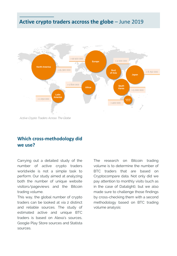

Active Crypto Traders Across The Globe

## **Which cross-methodology did we use?**

Carrying out a detailed study of the number of active crypto traders worldwide is not a simple task to perform. Our study aimed at analyzing both the number of unique website visitors/pageviews and the Bitcoin trading volume.

This way, the global number of crypto traders can be looked at via 2 distinct and reliable sources. The study of estimated active and unique BTC traders is based on Alexa's sources, Google Play Store sources and Statista sources.

The research on Bitcoin trading volume is to determine the number of BTC traders that are based on Cryptocompare data. Not only did we pay attention to monthly visits (such as in the case of Datalight), but we also made sure to challenge those findings by cross-checking them with a second methodology based on BTC trading volume analysis: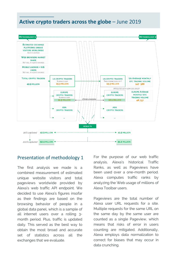

#### Presentation of methodology 1

The first analysis we made is a combined measurement of estimated unique website visitors and total pageviews worldwide provided by Alexa's web traffic API endpoint. We decided to use Alexa's figures insofar as their findings are based on the browsing behavior of people in a global data panel, which is a sample of all internet users over a rolling 3 month period. Plus, traffic is updated daily. This served as the best way to obtain the most broad and accurate set of statistics across all the exchanges that we evaluate.

For the purpose of our web traffic analysis, Alexa's historical Traffic Ranks, as well as Pageviews have been used over a one-month period. Alexa computes traffic ranks by analyzing the Web usage of millions of Alexa Toolbar users.

Pageviews are the total number of Alexa user URL requests for a site. Multiple requests for the same URL on the same day by the same user are counted as a single Pageview, which means that risks of error in users counting are mitigated. Additionally, Alexa employs data normalization to correct for biases that may occur in data crunching.